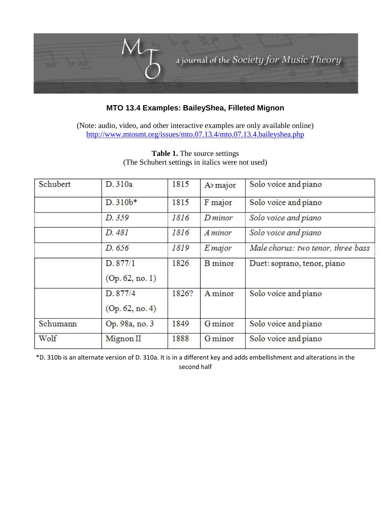

## **MTO 13.4 Examples: BaileyShea, Filleted Mignon**

(Note: audio, video, and other interactive examples are only available online) <http://www.mtosmt.org/issues/mto.07.13.4/mto.07.13.4.baileyshea.php>

| Schubert | D. 310a         | 1815  | $A\flat$ major | Solo voice and piano               |
|----------|-----------------|-------|----------------|------------------------------------|
|          | $D.310b*$       | 1815  | F major        | Solo voice and piano               |
|          | D. 359          | 1816  | D minor        | Solo voice and piano               |
|          | D. 481          | 1816  | A minor        | Solo voice and piano               |
|          | D. 656          | 1819  | E major        | Male chorus: two tenor, three bass |
|          | D.877/1         | 1826  | <b>B</b> minor | Duet: soprano, tenor, piano        |
|          | (Op. 62, no. 1) |       |                |                                    |
|          | D. 877/4        | 1826? | A minor        | Solo voice and piano               |
|          | (Op. 62, no. 4) |       |                |                                    |
| Schumann | Op. 98a, no. 3  | 1849  | <b>G</b> minor | Solo voice and piano               |
| Wolf     | Mignon II       | 1888  | <b>G</b> minor | Solo voice and piano               |
|          |                 |       |                |                                    |

**Table 1.** The source settings (The Schubert settings in italics were not used)

\*D. 310b is an alternate version of D. 310a. It is in a different key and adds embellishment and alterations in the second half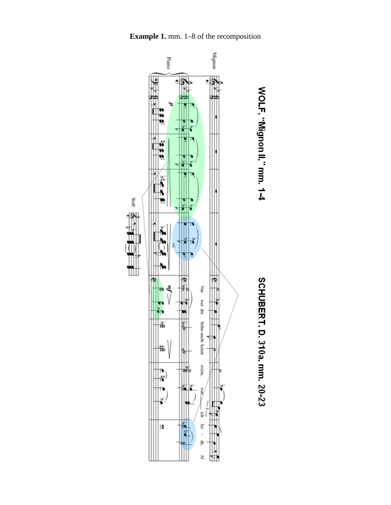

**Example 1.** mm. 1-8 of the recomposition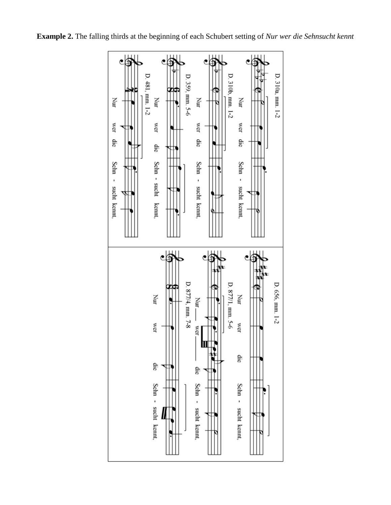

**Example 2.** The falling thirds at the beginning of each Schubert setting of *Nur wer die Sehnsucht kennt*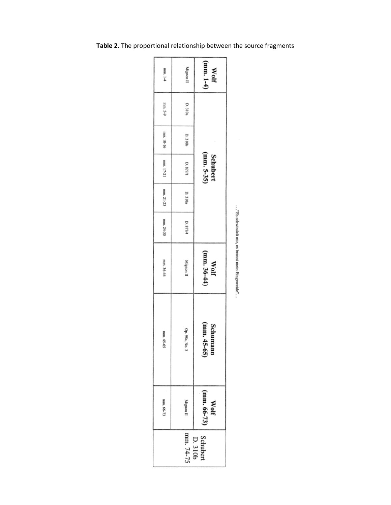| $\begin{array}{c}\n\text{Wolf} \\ \text{(mm. 1-4)}\n\end{array}$<br>Mignon II<br>D. 310a<br>D. 310b<br>Schubert<br>(mm. 5-35)<br>D. 877/1<br>D. 310a<br>D. 877/4<br>$\frac{\text{Wolf}}{\text{(mm. 36-44)}}$<br>Mignon II<br>Schumann<br>(mm. 45-65)<br>Op. 98a, No. 3<br>(mm. 66-73)<br>Mignon II<br>Wolf | mm. 1-4<br>mm. 5-9<br>mm. 10-16<br>mm. 17-21<br>mm. 21-23<br>mm. 24-35<br>mm. 36-44<br>mm<br>$45 - 65$<br>mm. 66-73 |  |  |  |  |  |
|------------------------------------------------------------------------------------------------------------------------------------------------------------------------------------------------------------------------------------------------------------------------------------------------------------|---------------------------------------------------------------------------------------------------------------------|--|--|--|--|--|
|                                                                                                                                                                                                                                                                                                            | Schubert<br>D. 310b<br>mm. 74-75                                                                                    |  |  |  |  |  |

... "Es schwindelt mir, es brennt mein Eingeweide"...

**Table 2.** The proportional relationship between the source fragments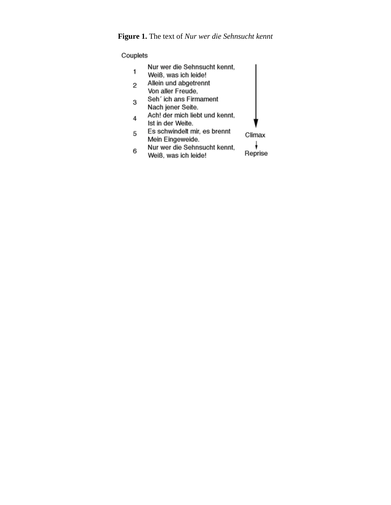# **Figure 1.** The text of *Nur wer die Sehnsucht kennt*

### Couplets

|   | Nur wer die Sehnsucht kennt,<br>Weiß, was ich leide! |        |
|---|------------------------------------------------------|--------|
| 2 | Allein und abgetrennt<br>Von aller Freude,           |        |
| з | Seh' ich ans Firmament<br>Nach jener Seite.          |        |
|   | Ach! der mich liebt und kennt,<br>Ist in der Weite.  |        |
| 5 | Es schwindelt mir, es brennt<br>Mein Eingeweide.     | Climax |
| 6 | Nur wer die Sehnsucht kennt,<br>Weiß, was ich leide! | ise    |
|   |                                                      |        |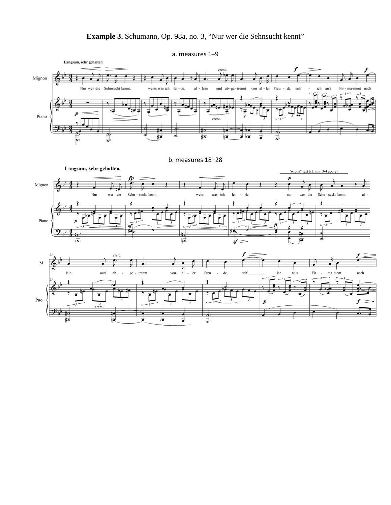# **Example 3.** Schumann, Op. 98a, no. 3, "Nur wer die Sehnsucht kennt"



a. measures 1–9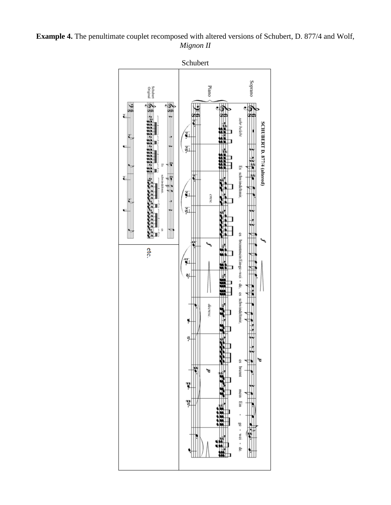#### **Example 4.** The penultimate couplet recomposed with altered versions of Schubert, D. 877/4 and Wolf, *Mignon II*

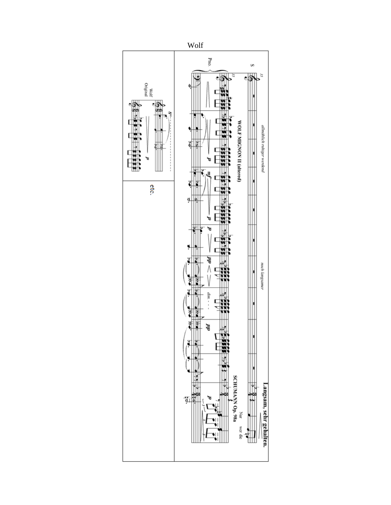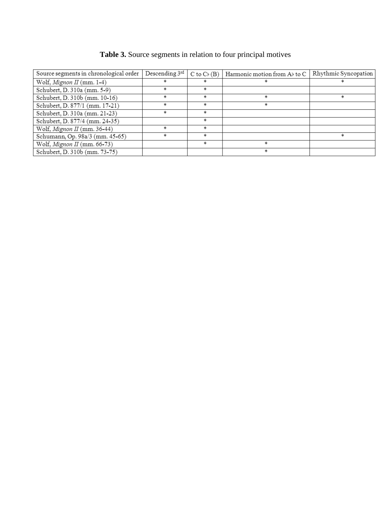| Table 3. Source segments in relation to four principal motives |  |  |  |  |
|----------------------------------------------------------------|--|--|--|--|
|                                                                |  |  |  |  |

| Source segments in chronological order | Descending 3rd | $C$ to $C$ $\flat$ $(B)$ | Harmonic motion from Ab to C | Rhythmic Syncopation |
|----------------------------------------|----------------|--------------------------|------------------------------|----------------------|
| Wolf, Mignon II (mm. 1-4)              |                | *                        |                              |                      |
| Schubert, D. 310a (mm. 5-9)            |                | *                        |                              |                      |
| Schubert, D. 310b (mm. 10-16)          | ж              | *                        | *                            | *                    |
| Schubert, D. 877/1 (mm. 17-21)         | *              | *                        | *                            |                      |
| Schubert, D. 310a (mm. 21-23)          | *              | *                        |                              |                      |
| Schubert, D. 877/4 (mm. 24-35)         |                | *                        |                              |                      |
| Wolf, Mignon II (mm. 36-44)            |                | *                        |                              |                      |
| Schumann, Op. 98a/3 (mm. 45-65)        | 永              | ж                        |                              | ж                    |
| Wolf, Mignon II (mm. 66-73)            |                | *                        | $\ast$                       |                      |
| Schubert, D. 310b (mm. 73-75)          |                |                          | *                            |                      |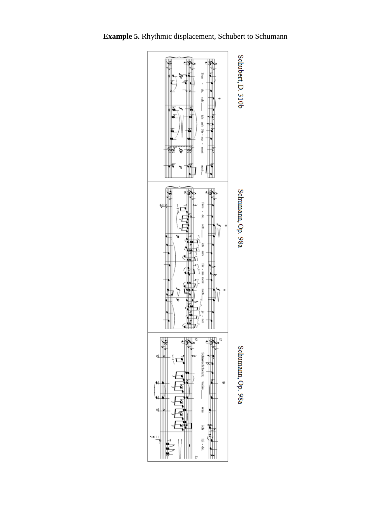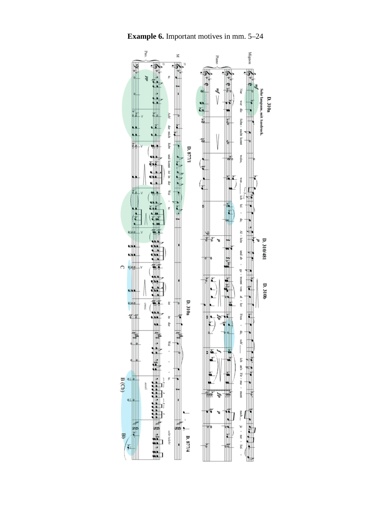Pno. Mignon  $\leq$ Piano e₩ еĦ  $\epsilon$ 占 ā. P, ř Sehr langsam, mit Ausdruck. D. 310a V war ŷ. Ř Į Schn N der mich liebt sucht kennt ₩  $\frac{1}{2}$ Ñ  $D.877/1$ und kennt  $\sqrt{2}$ weis ut in εM ğ n. ğ.  $\overline{\Omega}$  $\Lambda l$  - Icin Ħ ¥ ₩ P. D. 310/481 ъ qe pun  $\Omega$  $0.00$ ă tremut ļ **D.310b** ś al - le D. 310a  $\overline{\mathbb{R}}$ Fron Ï ä, ĝ ę. Ĥ š ξ 5 M ίğ, y,ue Ķ  $\begin{array}{c}\n\frac{1}{\sqrt{2}} \\
\frac{1}{\sqrt{2}}\n\end{array}$ li<br>1 į ment Ą it is  $d\uparrow$ mch. ł je - ner - Sei  $\frac{1}{2}$  :  $\frac{1}{2}$  :  $\frac{1}{2}$ selu belebt X Вb D. 877/4 ∛ ě

▦

**Example 6.** Important motives in mm. 5-24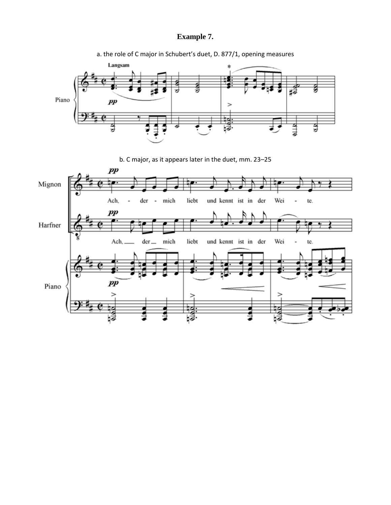### **Example 7.**

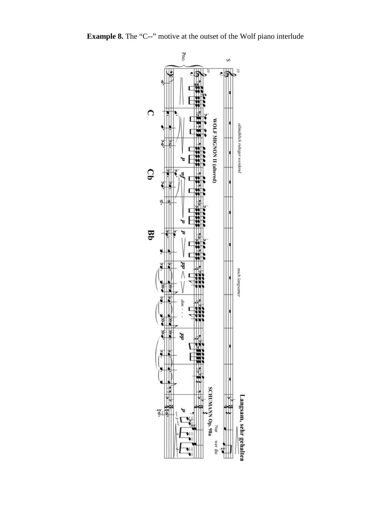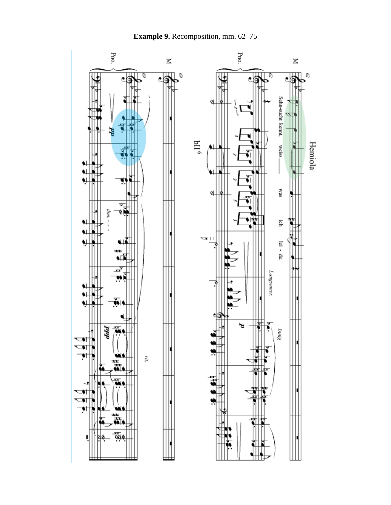